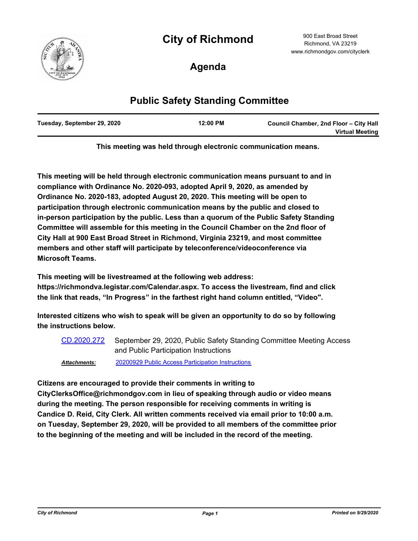# **City of Richmond**



900 East Broad Street Richmond, VA 23219 www.richmondgov.com/cityclerk

**Agenda**

## **Public Safety Standing Committee**

| Tuesday, September 29, 2020 | 12:00 PM | Council Chamber, 2nd Floor - City Hall<br><b>Virtual Meeting</b> |
|-----------------------------|----------|------------------------------------------------------------------|
|                             |          |                                                                  |

**This meeting was held through electronic communication means.**

**This meeting will be held through electronic communication means pursuant to and in compliance with Ordinance No. 2020-093, adopted April 9, 2020, as amended by Ordinance No. 2020-183, adopted August 20, 2020. This meeting will be open to participation through electronic communication means by the public and closed to in-person participation by the public. Less than a quorum of the Public Safety Standing Committee will assemble for this meeting in the Council Chamber on the 2nd floor of City Hall at 900 East Broad Street in Richmond, Virginia 23219, and most committee members and other staff will participate by teleconference/videoconference via Microsoft Teams.**

**This meeting will be livestreamed at the following web address:** 

**https://richmondva.legistar.com/Calendar.aspx. To access the livestream, find and click the link that reads, "In Progress" in the farthest right hand column entitled, "Video".**

**Interested citizens who wish to speak will be given an opportunity to do so by following the instructions below.**

September 29, 2020, Public Safety Standing Committee Meeting Access and Public Participation Instructions [CD.2020.272](http://richmondva.legistar.com/gateway.aspx?m=l&id=/matter.aspx?key=28148)

*Attachments:* [20200929 Public Access Participation Instructions](http://richmondva.legistar.com/gateway.aspx?M=F&ID=7109d6a9-fa5d-469a-8809-cee98acda5d0.pdf)

**Citizens are encouraged to provide their comments in writing to** 

**CityClerksOffice@richmondgov.com in lieu of speaking through audio or video means during the meeting. The person responsible for receiving comments in writing is Candice D. Reid, City Clerk. All written comments received via email prior to 10:00 a.m. on Tuesday, September 29, 2020, will be provided to all members of the committee prior to the beginning of the meeting and will be included in the record of the meeting.**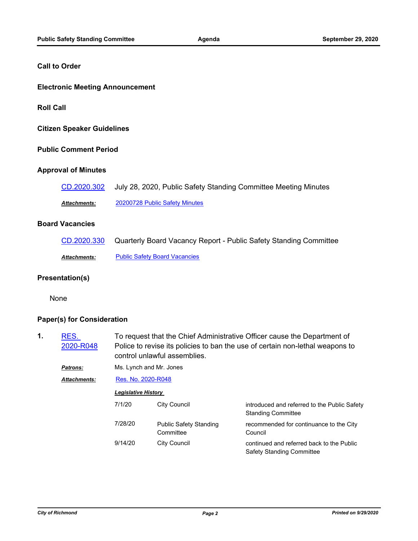#### **Call to Order**

#### **Electronic Meeting Announcement**

**Roll Call**

**Citizen Speaker Guidelines**

#### **Public Comment Period**

#### **Approval of Minutes**

| CD.2020.302         | July 28, 2020, Public Safety Standing Committee Meeting Minutes |
|---------------------|-----------------------------------------------------------------|
| <b>Attachments:</b> | 20200728 Public Safety Minutes                                  |

#### **Board Vacancies**

| CD.2020.330  | Quarterly Board Vacancy Report - Public Safety Standing Committee |
|--------------|-------------------------------------------------------------------|
| Attachments: | <b>Public Safety Board Vacancies</b>                              |

#### **Presentation(s)**

None

#### **Paper(s) for Consideration**

| 1. | RES.<br>2020-R048   |                            | To request that the Chief Administrative Officer cause the Department of<br>Police to revise its policies to ban the use of certain non-lethal weapons to<br>control unlawful assemblies.<br>Ms. Lynch and Mr. Jones |                                                                           |  |
|----|---------------------|----------------------------|----------------------------------------------------------------------------------------------------------------------------------------------------------------------------------------------------------------------|---------------------------------------------------------------------------|--|
|    | Patrons:            |                            |                                                                                                                                                                                                                      |                                                                           |  |
|    | <b>Attachments:</b> | Res. No. 2020-R048         |                                                                                                                                                                                                                      |                                                                           |  |
|    |                     | <b>Legislative History</b> |                                                                                                                                                                                                                      |                                                                           |  |
|    |                     | 7/1/20                     | <b>City Council</b>                                                                                                                                                                                                  | introduced and referred to the Public Safety<br><b>Standing Committee</b> |  |
|    |                     | 7/28/20                    | <b>Public Safety Standing</b><br>Committee                                                                                                                                                                           | recommended for continuance to the City<br>Council                        |  |
|    |                     | 9/14/20                    | <b>City Council</b>                                                                                                                                                                                                  | continued and referred back to the Public<br>Safety Standing Committee    |  |